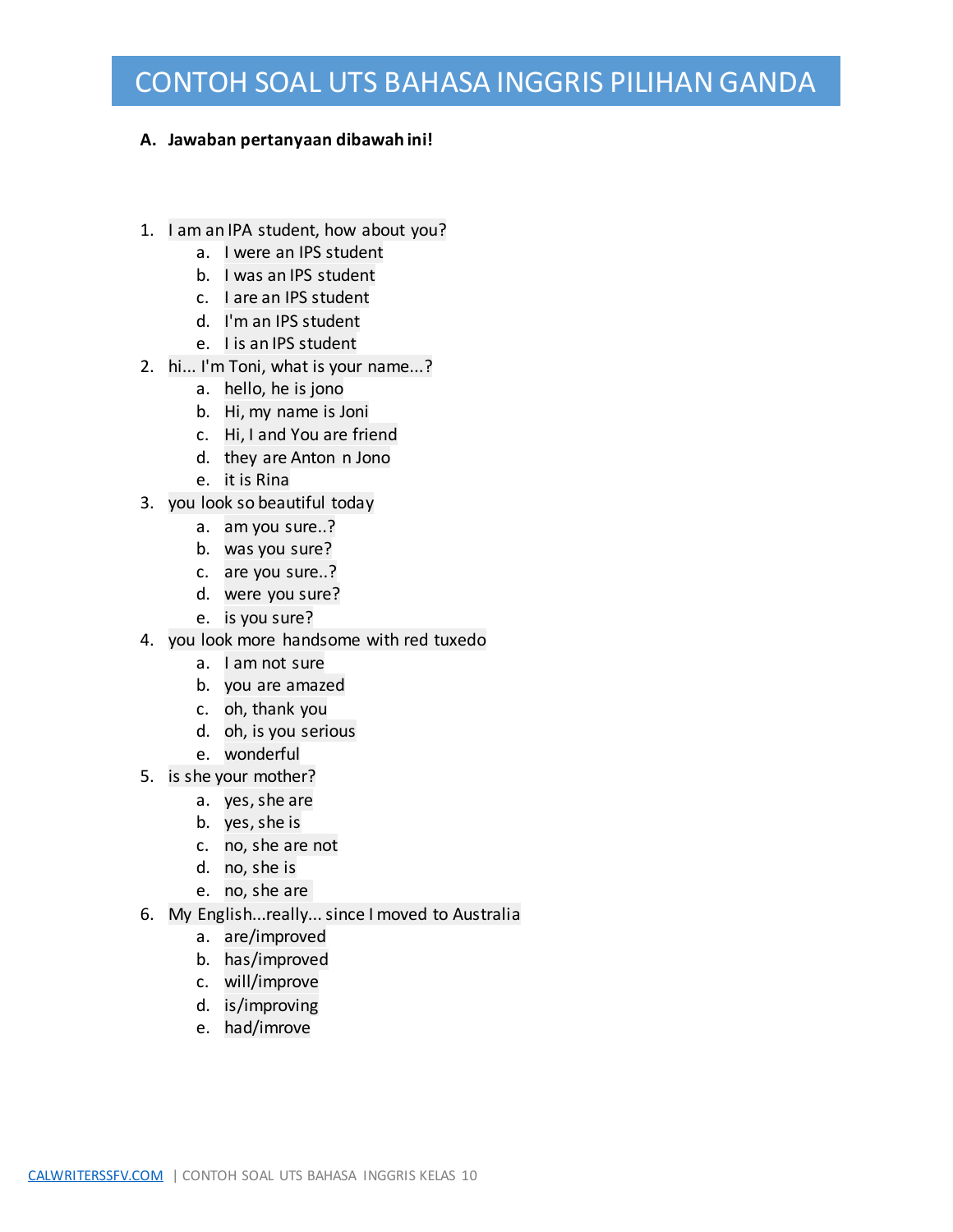#### **A. Jawaban pertanyaan dibawah ini!**

- 1. I am an IPA student, how about you?
	- a. I were an IPS student
	- b. I was an IPS student
	- c. I are an IPS student
	- d. I'm an IPS student
	- e. I is an IPS student
- 2. hi... I'm Toni, what is your name...?
	- a. hello, he is jono
	- b. Hi, my name is Joni
	- c. Hi, I and You are friend
	- d. they are Anton n Jono
	- e. it is Rina
- 3. you look so beautiful today
	- a. am you sure..?
	- b. was you sure?
	- c. are you sure..?
	- d. were you sure?
	- e. is you sure?
- 4. you look more handsome with red tuxedo
	- a. I am not sure
	- b. you are amazed
	- c. oh, thank you
	- d. oh, is you serious
	- e. wonderful
- 5. is she your mother?
	- a. yes, she are
	- b. yes, she is
	- c. no, she are not
	- d. no, she is
	- e. no, she are
- 6. My English...really... since I moved to Australia
	- a. are/improved
	- b. has/improved
	- c. will/improve
	- d. is/improving
	- e. had/imrove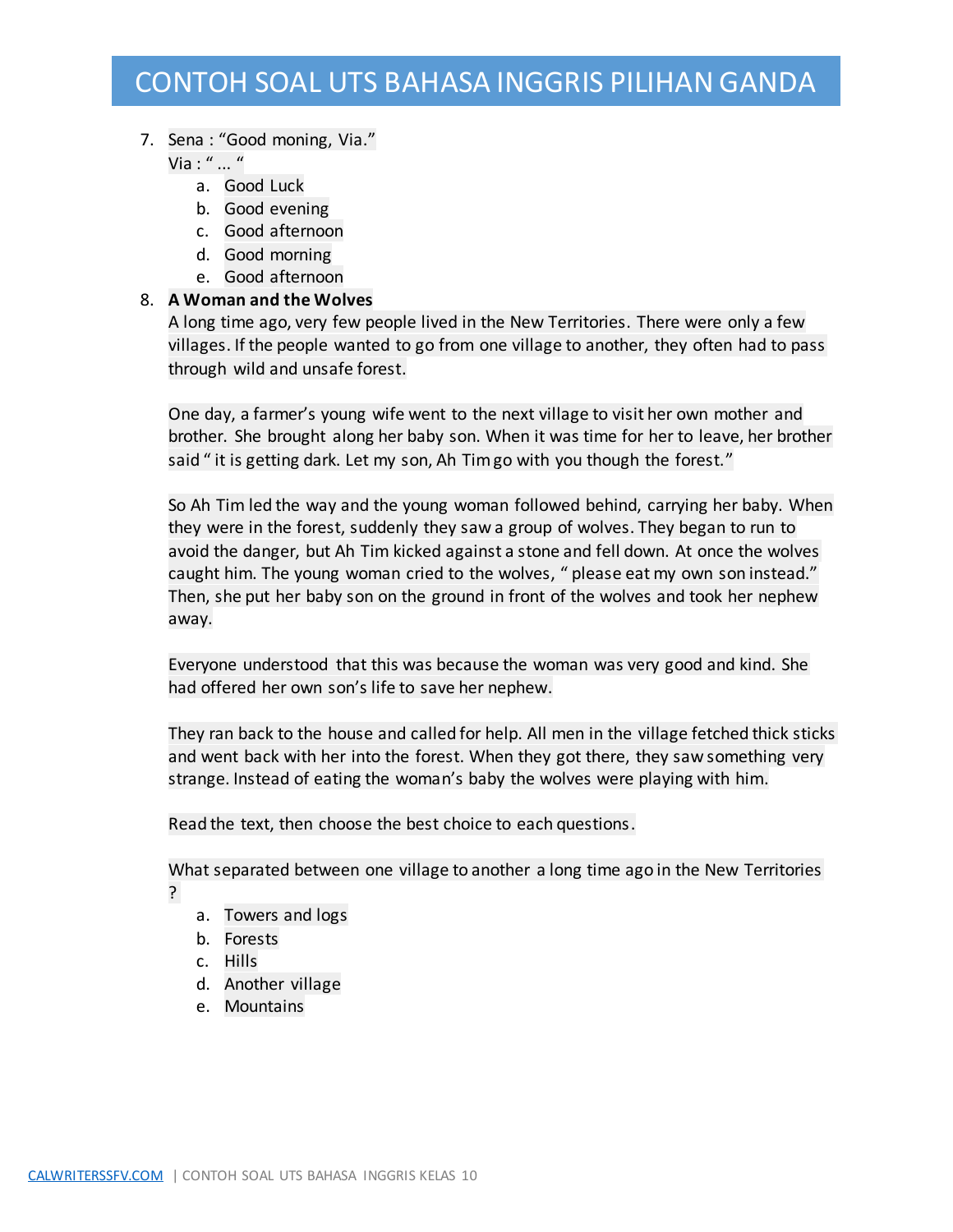#### 7. Sena : "Good moning, Via."

Via : " ... "

- a. Good Luck
- b. Good evening
- c. Good afternoon
- d. Good morning
- e. Good afternoon

### 8. **A Woman and the Wolves**

A long time ago, very few people lived in the New Territories. There were only a few villages. If the people wanted to go from one village to another, they often had to pass through wild and unsafe forest.

One day, a farmer's young wife went to the next village to visit her own mother and brother. She brought along her baby son. When it was time for her to leave, her brother said " it is getting dark. Let my son, Ah Tim go with you though the forest."

So Ah Tim led the way and the young woman followed behind, carrying her baby. When they were in the forest, suddenly they saw a group of wolves. They began to run to avoid the danger, but Ah Tim kicked against a stone and fell down. At once the wolves caught him. The young woman cried to the wolves, " please eat my own son instead." Then, she put her baby son on the ground in front of the wolves and took her nephew away.

Everyone understood that this was because the woman was very good and kind. She had offered her own son's life to save her nephew.

They ran back to the house and called for help. All men in the village fetched thick sticks and went back with her into the forest. When they got there, they saw something very strange. Instead of eating the woman's baby the wolves were playing with him.

Read the text, then choose the best choice to each questions.

What separated between one village to another a long time ago in the New Territories ?

- a. Towers and logs
- b. Forests
- c. Hills
- d. Another village
- e. Mountains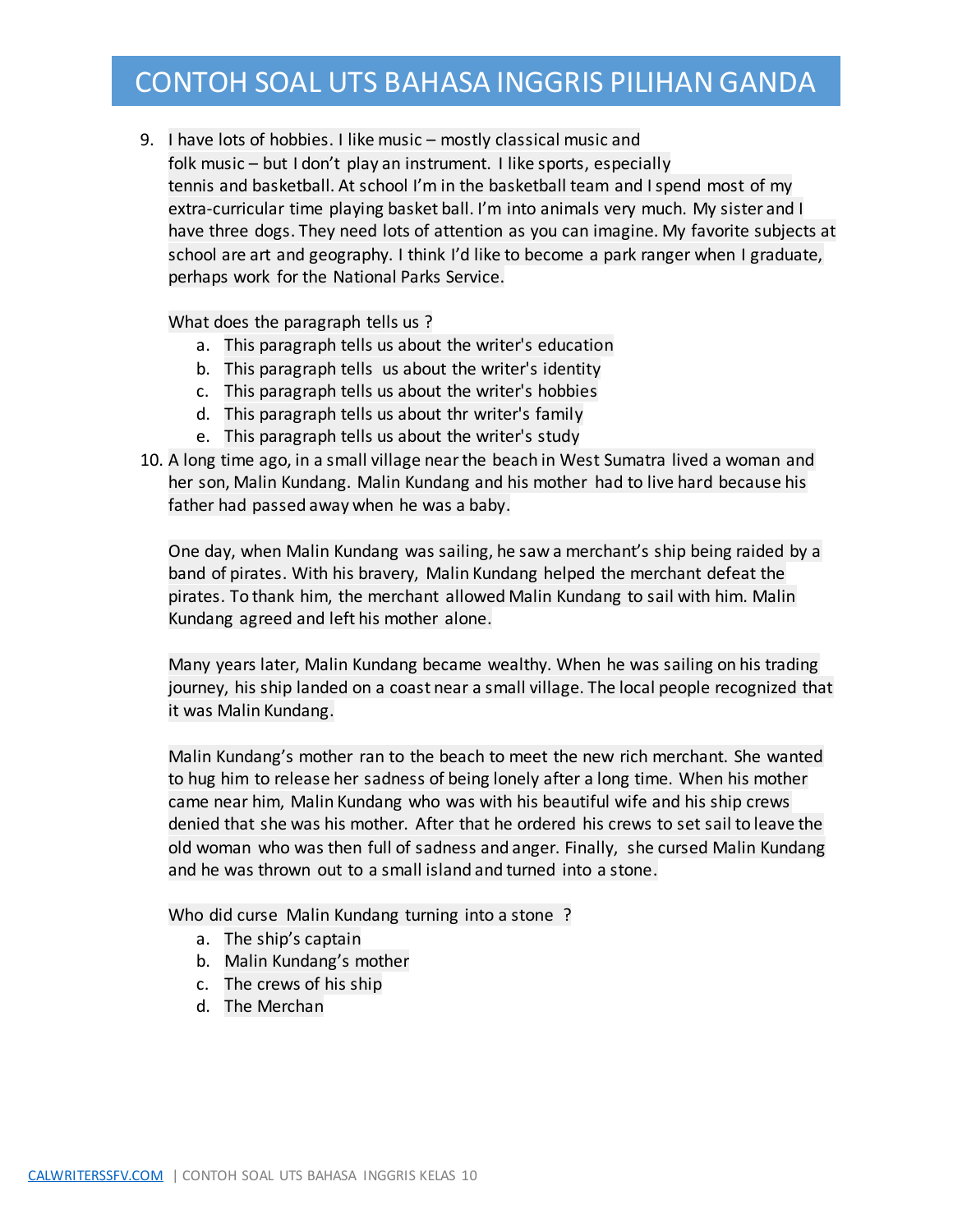9. I have lots of hobbies. I like music – mostly classical music and folk music – but I don't play an instrument. I like sports, especially tennis and basketball. At school I'm in the basketball team and I spend most of my extra-curricular time playing basket ball. I'm into animals very much. My sister and I have three dogs. They need lots of attention as you can imagine. My favorite subjects at school are art and geography. I think I'd like to become a park ranger when I graduate, perhaps work for the National Parks Service.

What does the paragraph tells us ?

- a. This paragraph tells us about the writer's education
- b. This paragraph tells us about the writer's identity
- c. This paragraph tells us about the writer's hobbies
- d. This paragraph tells us about thr writer's family
- e. This paragraph tells us about the writer's study
- 10. A long time ago, in a small village near the beach in West Sumatra lived a woman and her son, Malin Kundang. Malin Kundang and his mother had to live hard because his father had passed away when he was a baby.

One day, when Malin Kundang was sailing, he saw a merchant's ship being raided by a band of pirates. With his bravery, Malin Kundang helped the merchant defeat the pirates. To thank him, the merchant allowed Malin Kundang to sail with him. Malin Kundang agreed and left his mother alone.

Many years later, Malin Kundang became wealthy. When he was sailing on his trading journey, his ship landed on a coast near a small village. The local people recognized that it was Malin Kundang.

Malin Kundang's mother ran to the beach to meet the new rich merchant. She wanted to hug him to release her sadness of being lonely after a long time. When his mother came near him, Malin Kundang who was with his beautiful wife and his ship crews denied that she was his mother. After that he ordered his crews to set sail to leave the old woman who was then full of sadness and anger. Finally, she cursed Malin Kundang and he was thrown out to a small island and turned into a stone.

Who did curse Malin Kundang turning into a stone ?

- a. The ship's captain
- b. Malin Kundang's mother
- c. The crews of his ship
- d. The Merchan